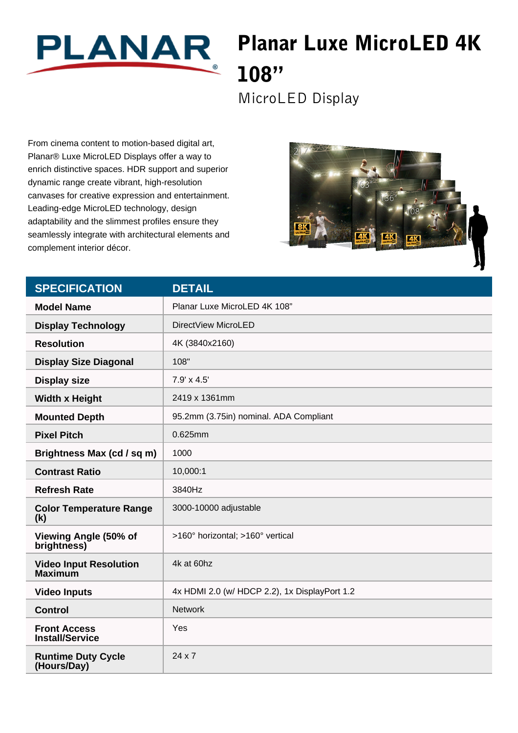

## Planar Luxe MicroLED 4K 108"

MicroLED Display

From cinema content to motion-based digital art, Planar® Luxe MicroLED Displays offer a way to enrich distinctive spaces. HDR support and superior dynamic range create vibrant, high-resolution canvases for creative expression and entertainment. Leading-edge MicroLED technology, design adaptability and the slimmest profiles ensure they seamlessly integrate with architectural elements and complement interior décor.



| <b>SPECIFICATION</b>                            | <b>DETAIL</b>                                 |
|-------------------------------------------------|-----------------------------------------------|
| <b>Model Name</b>                               | Planar Luxe MicroLED 4K 108"                  |
| <b>Display Technology</b>                       | DirectView MicroLED                           |
| <b>Resolution</b>                               | 4K (3840x2160)                                |
| <b>Display Size Diagonal</b>                    | 108"                                          |
| <b>Display size</b>                             | 7.9' x 4.5'                                   |
| <b>Width x Height</b>                           | 2419 x 1361mm                                 |
| <b>Mounted Depth</b>                            | 95.2mm (3.75in) nominal. ADA Compliant        |
| <b>Pixel Pitch</b>                              | 0.625mm                                       |
| Brightness Max (cd / sq m)                      | 1000                                          |
| <b>Contrast Ratio</b>                           | 10,000:1                                      |
| <b>Refresh Rate</b>                             | 3840Hz                                        |
| <b>Color Temperature Range</b><br>(k)           | 3000-10000 adjustable                         |
| Viewing Angle (50% of<br>brightness)            | >160° horizontal; >160° vertical              |
| <b>Video Input Resolution</b><br><b>Maximum</b> | 4k at 60hz                                    |
| <b>Video Inputs</b>                             | 4x HDMI 2.0 (w/ HDCP 2.2), 1x DisplayPort 1.2 |
| <b>Control</b>                                  | <b>Network</b>                                |
| <b>Front Access</b><br><b>Install/Service</b>   | Yes                                           |
| <b>Runtime Duty Cycle</b><br>(Hours/Day)        | $24 \times 7$                                 |